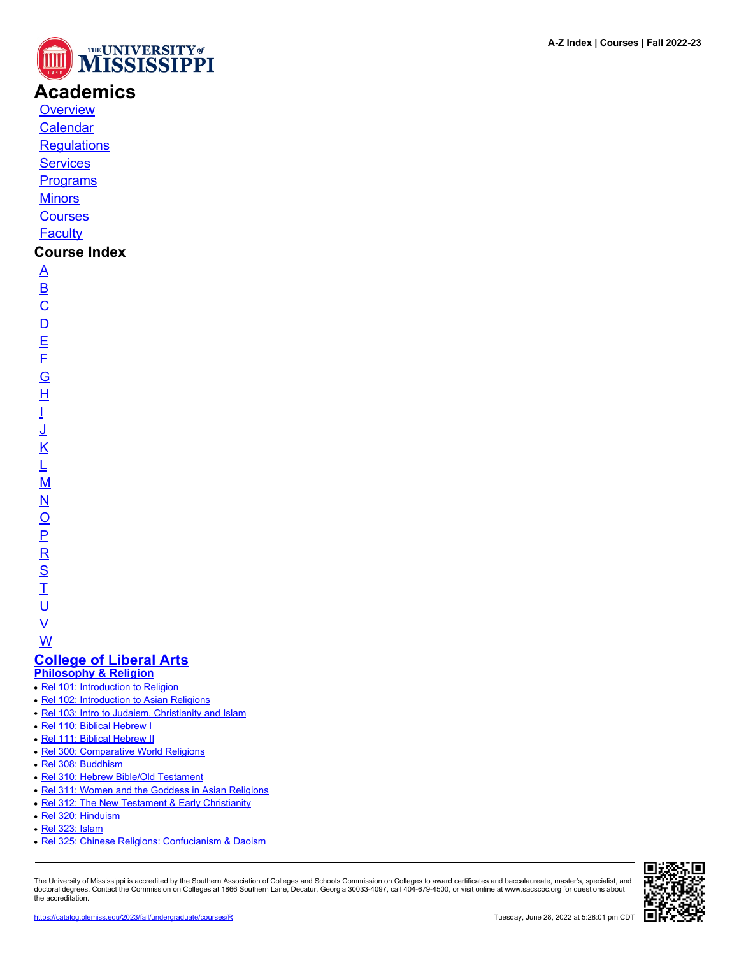

# **Academics**

**[Overview](https://catalog.olemiss.edu/academics)** [Calendar](https://catalog.olemiss.edu/academics/calendar)

**[Regulations](https://catalog.olemiss.edu/academics/regulations)** 

**[Services](https://catalog.olemiss.edu/academics/services)** 

**[Programs](https://catalog.olemiss.edu/programs)** 

**[Minors](https://catalog.olemiss.edu/minors)** 

**[Courses](https://catalog.olemiss.edu/courses)** 

**[Faculty](https://catalog.olemiss.edu/faculty)** 

### **Course Index**

[A](https://catalog.olemiss.edu/courses/A) [B](https://catalog.olemiss.edu/courses/B)  $\overline{C}$  $\overline{C}$  $\overline{C}$  $\overline{D}$  $\overline{D}$  $\overline{D}$ [E](https://catalog.olemiss.edu/courses/E) [F](https://catalog.olemiss.edu/courses/F) [G](https://catalog.olemiss.edu/courses/G) [H](https://catalog.olemiss.edu/courses/H) [I](https://catalog.olemiss.edu/courses/I) [J](https://catalog.olemiss.edu/courses/J) [K](https://catalog.olemiss.edu/courses/K) [L](https://catalog.olemiss.edu/courses/L) [M](https://catalog.olemiss.edu/courses/M) [N](https://catalog.olemiss.edu/courses/N)  $\overline{O}$  $\overline{O}$  $\overline{O}$ [P](https://catalog.olemiss.edu/courses/P)  $\overline{\mathsf{R}}$  $\overline{\mathsf{R}}$  $\overline{\mathsf{R}}$ [S](https://catalog.olemiss.edu/courses/S)  $\overline{1}$ <u>ប</u>

 $\underline{\mathsf{v}}$ 

[W](https://catalog.olemiss.edu/courses/W) **[College of Liberal Arts](https://catalog.olemiss.edu/liberal-arts)**

**[Philosophy & Religion](https://catalog.olemiss.edu/liberal-arts/philosophy-religion)**

- [Rel 101: Introduction to Religion](https://catalog.olemiss.edu/liberal-arts/philosophy-religion/rel-101)
- [Rel 102: Introduction to Asian Religions](https://catalog.olemiss.edu/liberal-arts/philosophy-religion/rel-102)
- [Rel 103: Intro to Judaism, Christianity and Islam](https://catalog.olemiss.edu/liberal-arts/philosophy-religion/rel-103)
- [Rel 110: Biblical Hebrew I](https://catalog.olemiss.edu/liberal-arts/philosophy-religion/rel-110)
- [Rel 111: Biblical Hebrew II](https://catalog.olemiss.edu/liberal-arts/philosophy-religion/rel-111)
- [Rel 300: Comparative World Religions](https://catalog.olemiss.edu/liberal-arts/philosophy-religion/rel-300)
- [Rel 308: Buddhism](https://catalog.olemiss.edu/liberal-arts/philosophy-religion/rel-308)
- [Rel 310: Hebrew Bible/Old Testament](https://catalog.olemiss.edu/liberal-arts/philosophy-religion/rel-310)
- [Rel 311: Women and the Goddess in Asian Religions](https://catalog.olemiss.edu/liberal-arts/philosophy-religion/rel-311)
- [Rel 312: The New Testament & Early Christianity](https://catalog.olemiss.edu/liberal-arts/philosophy-religion/rel-312)
- [Rel 320: Hinduism](https://catalog.olemiss.edu/liberal-arts/philosophy-religion/rel-320)
- [Rel 323: Islam](https://catalog.olemiss.edu/liberal-arts/philosophy-religion/rel-323)
- [Rel 325: Chinese Religions: Confucianism & Daoism](https://catalog.olemiss.edu/liberal-arts/philosophy-religion/rel-325)

The University of Mississippi is accredited by the Southern Association of Colleges and Schools Commission on Colleges to award certificates and baccalaureate, master's, specialist, and doctoral degrees. Contact the Commission on Colleges at 1866 Southern Lane, Decatur, Georgia 30033-4097, call 404-679-4500, or visit online at www.sacscoc.org for questions about the accreditation.

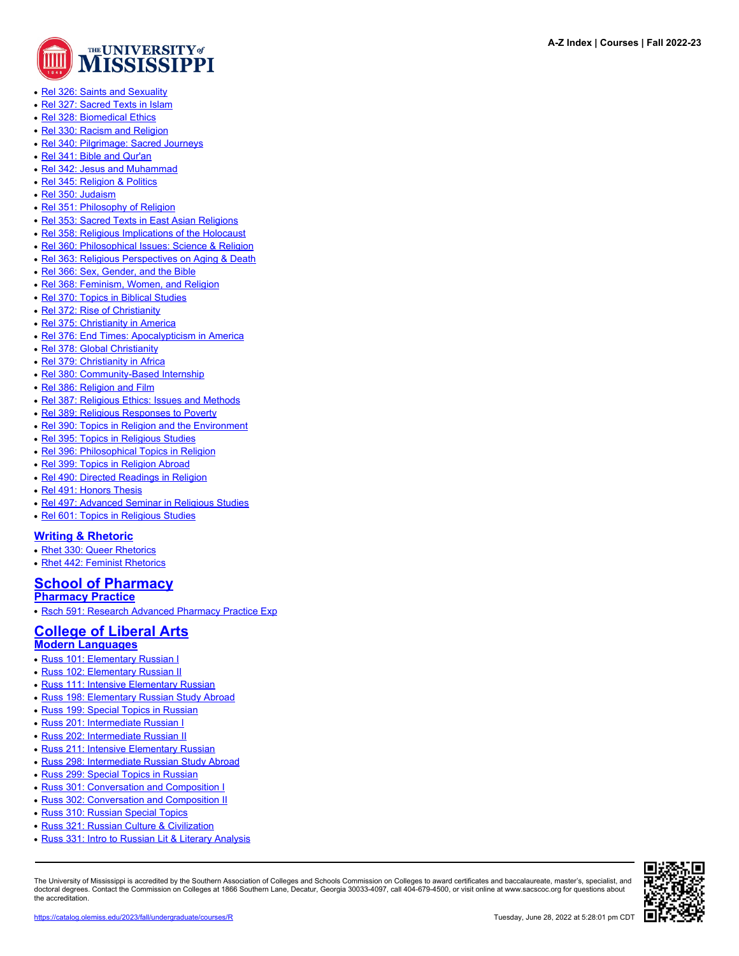

**A-Z Index | Courses | Fall 2022-23**

- [Rel 326: Saints and Sexuality](https://catalog.olemiss.edu/liberal-arts/philosophy-religion/rel-326)
- [Rel 327: Sacred Texts in Islam](https://catalog.olemiss.edu/liberal-arts/philosophy-religion/rel-327)
- [Rel 328: Biomedical Ethics](https://catalog.olemiss.edu/liberal-arts/philosophy-religion/rel-328)
- [Rel 330: Racism and Religion](https://catalog.olemiss.edu/liberal-arts/philosophy-religion/rel-330)
- [Rel 340: Pilgrimage: Sacred Journeys](https://catalog.olemiss.edu/liberal-arts/philosophy-religion/rel-340)
- [Rel 341: Bible and Qur'an](https://catalog.olemiss.edu/liberal-arts/philosophy-religion/rel-341)
- [Rel 342: Jesus and Muhammad](https://catalog.olemiss.edu/liberal-arts/philosophy-religion/rel-342)
- [Rel 345: Religion & Politics](https://catalog.olemiss.edu/liberal-arts/philosophy-religion/rel-345)
- [Rel 350: Judaism](https://catalog.olemiss.edu/liberal-arts/philosophy-religion/rel-350)
- [Rel 351: Philosophy of Religion](https://catalog.olemiss.edu/liberal-arts/philosophy-religion/rel-351)
- [Rel 353: Sacred Texts in East Asian Religions](https://catalog.olemiss.edu/liberal-arts/philosophy-religion/rel-353)
- [Rel 358: Religious Implications of the Holocaust](https://catalog.olemiss.edu/liberal-arts/philosophy-religion/rel-358)
- [Rel 360: Philosophical Issues: Science & Religion](https://catalog.olemiss.edu/liberal-arts/philosophy-religion/rel-360)
- [Rel 363: Religious Perspectives on Aging & Death](https://catalog.olemiss.edu/liberal-arts/philosophy-religion/rel-363)
- [Rel 366: Sex, Gender, and the Bible](https://catalog.olemiss.edu/liberal-arts/philosophy-religion/rel-366)
- [Rel 368: Feminism, Women, and Religion](https://catalog.olemiss.edu/liberal-arts/philosophy-religion/rel-368)
- [Rel 370: Topics in Biblical Studies](https://catalog.olemiss.edu/liberal-arts/philosophy-religion/rel-370)
- [Rel 372: Rise of Christianity](https://catalog.olemiss.edu/liberal-arts/philosophy-religion/rel-372)
- [Rel 375: Christianity in America](https://catalog.olemiss.edu/liberal-arts/philosophy-religion/rel-375)
- [Rel 376: End Times: Apocalypticism in America](https://catalog.olemiss.edu/liberal-arts/philosophy-religion/rel-376)
- [Rel 378: Global Christianity](https://catalog.olemiss.edu/liberal-arts/philosophy-religion/rel-378)
- [Rel 379: Christianity in Africa](https://catalog.olemiss.edu/liberal-arts/philosophy-religion/rel-379)
- [Rel 380: Community-Based Internship](https://catalog.olemiss.edu/liberal-arts/philosophy-religion/rel-380)
- [Rel 386: Religion and Film](https://catalog.olemiss.edu/liberal-arts/philosophy-religion/rel-386)
- [Rel 387: Religious Ethics: Issues and Methods](https://catalog.olemiss.edu/liberal-arts/philosophy-religion/rel-387)
- [Rel 389: Religious Responses to Poverty](https://catalog.olemiss.edu/liberal-arts/philosophy-religion/rel-389)
- [Rel 390: Topics in Religion and the Environment](https://catalog.olemiss.edu/liberal-arts/philosophy-religion/rel-390)
- [Rel 395: Topics in Religious Studies](https://catalog.olemiss.edu/liberal-arts/philosophy-religion/rel-395)
- [Rel 396: Philosophical Topics in Religion](https://catalog.olemiss.edu/liberal-arts/philosophy-religion/rel-396)
- [Rel 399: Topics in Religion Abroad](https://catalog.olemiss.edu/liberal-arts/philosophy-religion/rel-399)
- [Rel 490: Directed Readings in Religion](https://catalog.olemiss.edu/liberal-arts/philosophy-religion/rel-490)
- [Rel 491: Honors Thesis](https://catalog.olemiss.edu/liberal-arts/philosophy-religion/rel-491)
- [Rel 497: Advanced Seminar in Religious Studies](https://catalog.olemiss.edu/liberal-arts/philosophy-religion/rel-497)
- [Rel 601: Topics in Religious Studies](https://catalog.olemiss.edu/liberal-arts/philosophy-religion/rel-601)

#### **[Writing & Rhetoric](https://catalog.olemiss.edu/liberal-arts/writing-rhetoric)**

- [Rhet 330: Queer Rhetorics](https://catalog.olemiss.edu/liberal-arts/writing-rhetoric/rhet-330)
- [Rhet 442: Feminist Rhetorics](https://catalog.olemiss.edu/liberal-arts/writing-rhetoric/rhet-442)

## **[School of Pharmacy](https://catalog.olemiss.edu/pharmacy)**

**[Pharmacy Practice](https://catalog.olemiss.edu/pharmacy/pharmacy-practice)**

• [Rsch 591: Research Advanced Pharmacy Practice Exp](https://catalog.olemiss.edu/pharmacy/pharmacy-practice/rsch-591)

#### **[College of Liberal Arts](https://catalog.olemiss.edu/liberal-arts) [Modern Languages](https://catalog.olemiss.edu/liberal-arts/modern-languages)**

- [Russ 101: Elementary Russian I](https://catalog.olemiss.edu/liberal-arts/modern-languages/russ-101)
- [Russ 102: Elementary Russian II](https://catalog.olemiss.edu/liberal-arts/modern-languages/russ-102)
- [Russ 111: Intensive Elementary Russian](https://catalog.olemiss.edu/liberal-arts/modern-languages/russ-111)
- [Russ 198: Elementary Russian Study Abroad](https://catalog.olemiss.edu/liberal-arts/modern-languages/russ-198)
- [Russ 199: Special Topics in Russian](https://catalog.olemiss.edu/liberal-arts/modern-languages/russ-199)
- [Russ 201: Intermediate Russian I](https://catalog.olemiss.edu/liberal-arts/modern-languages/russ-201)
- [Russ 202: Intermediate Russian II](https://catalog.olemiss.edu/liberal-arts/modern-languages/russ-202)
- [Russ 211: Intensive Elementary Russian](https://catalog.olemiss.edu/liberal-arts/modern-languages/russ-211)
- [Russ 298: Intermediate Russian Study Abroad](https://catalog.olemiss.edu/liberal-arts/modern-languages/russ-298)
- [Russ 299: Special Topics in Russian](https://catalog.olemiss.edu/liberal-arts/modern-languages/russ-299)
- [Russ 301: Conversation and Composition I](https://catalog.olemiss.edu/liberal-arts/modern-languages/russ-301)
- [Russ 302: Conversation and Composition II](https://catalog.olemiss.edu/liberal-arts/modern-languages/russ-302)
- [Russ 310: Russian Special Topics](https://catalog.olemiss.edu/liberal-arts/modern-languages/russ-310)
- [Russ 321: Russian Culture & Civilization](https://catalog.olemiss.edu/liberal-arts/modern-languages/russ-321)
- [Russ 331: Intro to Russian Lit & Literary Analysis](https://catalog.olemiss.edu/liberal-arts/modern-languages/russ-331)

The University of Mississippi is accredited by the Southern Association of Colleges and Schools Commission on Colleges to award certificates and baccalaureate, master's, specialist, and doctoral degrees. Contact the Commission on Colleges at 1866 Southern Lane, Decatur, Georgia 30033-4097, call 404-679-4500, or visit online at www.sacscoc.org for questions about the accreditation.